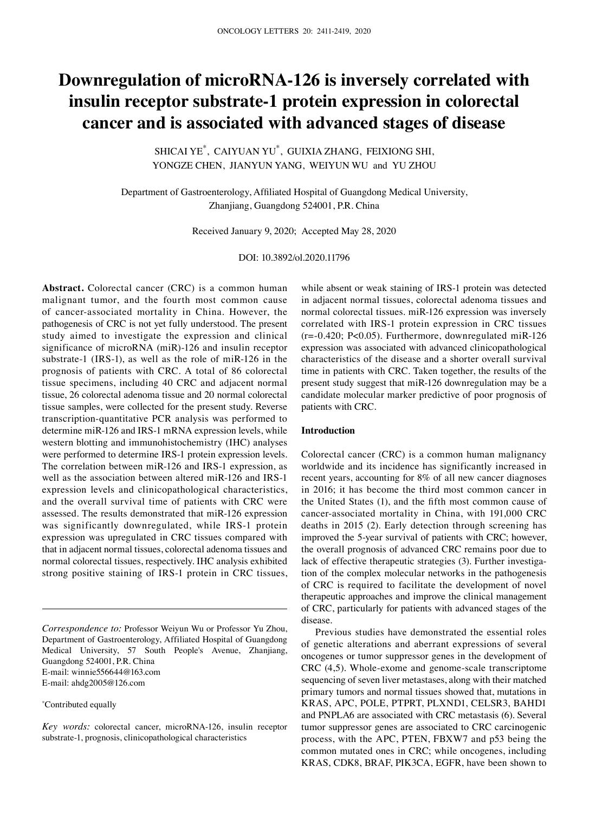# **Downregulation of microRNA‑126 is inversely correlated with insulin receptor substrate‑1 protein expression in colorectal cancer and is associated with advanced stages of disease**

SHICAI YE\* , CAIYUAN YU\* , GUIXIA ZHANG, FEIXIONG SHI, YONGZE CHEN, JIANYUN YANG, WEIYUN WU and YU ZHOU

Department of Gastroenterology, Affiliated Hospital of Guangdong Medical University, Zhanjiang, Guangdong 524001, P.R. China

Received January 9, 2020; Accepted May 28, 2020

DOI: 10.3892/ol.2020.11796

Abstract. Colorectal cancer (CRC) is a common human malignant tumor, and the fourth most common cause of cancer-associated mortality in China. However, the pathogenesis of CRC is not yet fully understood. The present study aimed to investigate the expression and clinical significance of microRNA (miR)-126 and insulin receptor substrate-1 (IRS-1), as well as the role of miR-126 in the prognosis of patients with CRC. A total of 86 colorectal tissue specimens, including 40 CRC and adjacent normal tissue, 26 colorectal adenoma tissue and 20 normal colorectal tissue samples, were collected for the present study. Reverse transcription-quantitative PCR analysis was performed to determine miR-126 and IRS-1 mRNA expression levels, while western blotting and immunohistochemistry (IHC) analyses were performed to determine IRS-1 protein expression levels. The correlation between miR-126 and IRS-1 expression, as well as the association between altered miR-126 and IRS-1 expression levels and clinicopathological characteristics, and the overall survival time of patients with CRC were assessed. The results demonstrated that miR-126 expression was significantly downregulated, while IRS-1 protein expression was upregulated in CRC tissues compared with that in adjacent normal tissues, colorectal adenoma tissues and normal colorectal tissues, respectively. IHC analysis exhibited strong positive staining of IRS-1 protein in CRC tissues,

*Correspondence to:* Professor Weiyun Wu or Professor Yu Zhou, Department of Gastroenterology, Affiliated Hospital of Guangdong Medical University, 57 South People's Avenue, Zhanjiang, Guangdong 524001, P.R. China E-mail: winnie556644@163.com E-mail: ahdg2005@126.com

\* Contributed equally

*Key words:* colorectal cancer, microRNA-126, insulin receptor substrate-1, prognosis, clinicopathological characteristics

while absent or weak staining of IRS-1 protein was detected in adjacent normal tissues, colorectal adenoma tissues and normal colorectal tissues. miR-126 expression was inversely correlated with IRS-1 protein expression in CRC tissues  $(r=-0.420; P<0.05)$ . Furthermore, downregulated miR-126 expression was associated with advanced clinicopathological characteristics of the disease and a shorter overall survival time in patients with CRC. Taken together, the results of the present study suggest that miR-126 downregulation may be a candidate molecular marker predictive of poor prognosis of patients with CRC.

#### **Introduction**

Colorectal cancer (CRC) is a common human malignancy worldwide and its incidence has significantly increased in recent years, accounting for 8% of all new cancer diagnoses in 2016; it has become the third most common cancer in the United States (1), and the fifth most common cause of cancer-associated mortality in China, with 191,000 CRC deaths in 2015 (2). Early detection through screening has improved the 5-year survival of patients with CRC; however, the overall prognosis of advanced CRC remains poor due to lack of effective therapeutic strategies (3). Further investigation of the complex molecular networks in the pathogenesis of CRC is required to facilitate the development of novel therapeutic approaches and improve the clinical management of CRC, particularly for patients with advanced stages of the disease.

Previous studies have demonstrated the essential roles of genetic alterations and aberrant expressions of several oncogenes or tumor suppressor genes in the development of CRC (4,5). Whole-exome and genome-scale transcriptome sequencing of seven liver metastases, along with their matched primary tumors and normal tissues showed that, mutations in KRAS, APC, POLE, PTPRT, PLXND1, CELSR3, BAHD1 and PNPLA6 are associated with CRC metastasis (6). Several tumor suppressor genes are associated to CRC carcinogenic process, with the APC, PTEN, FBXW7 and p53 being the common mutated ones in CRC; while oncogenes, including KRAS, CDK8, BRAF, PIK3CA, EGFR, have been shown to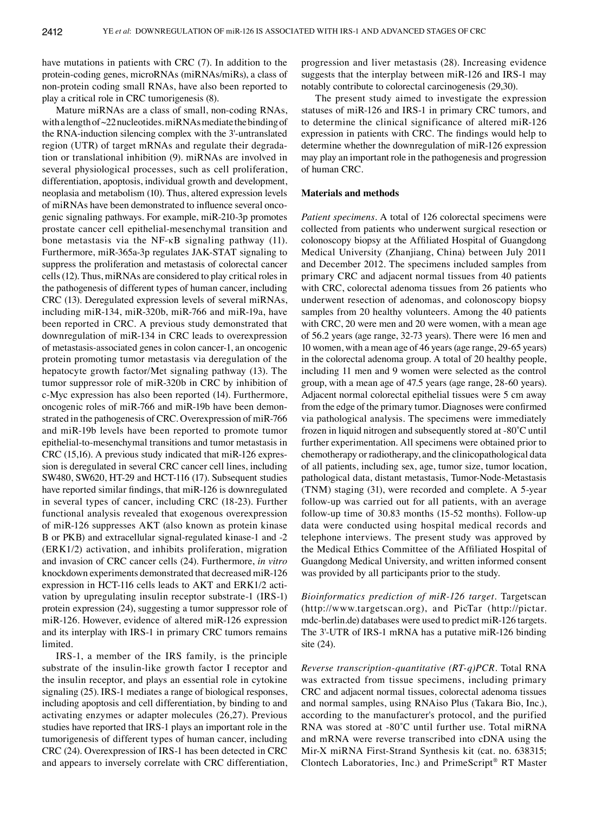have mutations in patients with CRC (7). In addition to the protein-coding genes, microRNAs (miRNAs/miRs), a class of non-protein coding small RNAs, have also been reported to play a critical role in CRC tumorigenesis (8).

Mature miRNAs are a class of small, non-coding RNAs, with a length of ~22 nucleotides. miRNAs mediate the binding of the RNA‑induction silencing complex with the 3'‑untranslated region (UTR) of target mRNAs and regulate their degradation or translational inhibition (9). miRNAs are involved in several physiological processes, such as cell proliferation, differentiation, apoptosis, individual growth and development, neoplasia and metabolism (10). Thus, altered expression levels of miRNAs have been demonstrated to influence several oncogenic signaling pathways. For example, miR-210-3p promotes prostate cancer cell epithelial-mesenchymal transition and bone metastasis via the NF-κB signaling pathway (11). Furthermore, miR-365a-3p regulates JAK-STAT signaling to suppress the proliferation and metastasis of colorectal cancer cells(12). Thus, miRNAs are considered to play critical roles in the pathogenesis of different types of human cancer, including CRC (13). Deregulated expression levels of several miRNAs, including miR-134, miR-320b, miR-766 and miR-19a, have been reported in CRC. A previous study demonstrated that downregulation of miR-134 in CRC leads to overexpression of metastasis-associated genes in colon cancer-1, an oncogenic protein promoting tumor metastasis via deregulation of the hepatocyte growth factor/Met signaling pathway (13). The tumor suppressor role of miR-320b in CRC by inhibition of c‑Myc expression has also been reported (14). Furthermore, oncogenic roles of miR-766 and miR-19b have been demonstrated in the pathogenesis of CRC. Overexpression of miR-766 and miR-19b levels have been reported to promote tumor epithelial-to-mesenchymal transitions and tumor metastasis in CRC (15,16). A previous study indicated that miR-126 expression is deregulated in several CRC cancer cell lines, including SW480, SW620, HT-29 and HCT-116 (17). Subsequent studies have reported similar findings, that miR-126 is downregulated in several types of cancer, including CRC (18-23). Further functional analysis revealed that exogenous overexpression of miR-126 suppresses AKT (also known as protein kinase B or PKB) and extracellular signal-regulated kinase-1 and -2 (ERK1/2) activation, and inhibits proliferation, migration and invasion of CRC cancer cells (24). Furthermore, *in vitro* knockdown experiments demonstrated that decreased miR-126 expression in HCT-116 cells leads to AKT and ERK1/2 activation by upregulating insulin receptor substrate-1 (IRS-1) protein expression (24), suggesting a tumor suppressor role of miR-126. However, evidence of altered miR-126 expression and its interplay with IRS-1 in primary CRC tumors remains limited.

IRS-1, a member of the IRS family, is the principle substrate of the insulin-like growth factor I receptor and the insulin receptor, and plays an essential role in cytokine signaling (25). IRS-1 mediates a range of biological responses, including apoptosis and cell differentiation, by binding to and activating enzymes or adapter molecules (26,27). Previous studies have reported that IRS-1 plays an important role in the tumorigenesis of different types of human cancer, including CRC (24). Overexpression of IRS-1 has been detected in CRC and appears to inversely correlate with CRC differentiation, progression and liver metastasis (28). Increasing evidence suggests that the interplay between miR-126 and IRS-1 may notably contribute to colorectal carcinogenesis (29,30).

The present study aimed to investigate the expression statuses of miR-126 and IRS-1 in primary CRC tumors, and to determine the clinical significance of altered miR-126 expression in patients with CRC. The findings would help to determine whether the downregulation of miR-126 expression may play an important role in the pathogenesis and progression of human CRC.

## **Materials and methods**

*Patient specimens.* A total of 126 colorectal specimens were collected from patients who underwent surgical resection or colonoscopy biopsy at the Affiliated Hospital of Guangdong Medical University (Zhanjiang, China) between July 2011 and December 2012. The specimens included samples from primary CRC and adjacent normal tissues from 40 patients with CRC, colorectal adenoma tissues from 26 patients who underwent resection of adenomas, and colonoscopy biopsy samples from 20 healthy volunteers. Among the 40 patients with CRC, 20 were men and 20 were women, with a mean age of 56.2 years (age range, 32-73 years). There were 16 men and 10 women, with a mean age of 46 years (age range, 29-65 years) in the colorectal adenoma group. A total of 20 healthy people, including 11 men and 9 women were selected as the control group, with a mean age of 47.5 years (age range, 28-60 years). Adjacent normal colorectal epithelial tissues were 5 cm away from the edge of the primary tumor. Diagnoses were confirmed via pathological analysis. The specimens were immediately frozen in liquid nitrogen and subsequently stored at ‑80˚C until further experimentation. All specimens were obtained prior to chemotherapy or radiotherapy, and the clinicopathological data of all patients, including sex, age, tumor size, tumor location, pathological data, distant metastasis, Tumor‑Node‑Metastasis (TNM) staging (31), were recorded and complete. A 5‑year follow-up was carried out for all patients, with an average follow-up time of 30.83 months (15-52 months). Follow-up data were conducted using hospital medical records and telephone interviews. The present study was approved by the Medical Ethics Committee of the Affiliated Hospital of Guangdong Medical University, and written informed consent was provided by all participants prior to the study.

*Bioinformatics prediction of miR‑126 target.* Targetscan (http://www.targetscan.org), and PicTar (http://pictar. mdc-berlin.de) databases were used to predict miR-126 targets. The 3'-UTR of IRS-1 mRNA has a putative miR-126 binding site (24).

*Reverse transcription‑quantitative (RT‑q)PCR.* Total RNA was extracted from tissue specimens, including primary CRC and adjacent normal tissues, colorectal adenoma tissues and normal samples, using RNAiso Plus (Takara Bio, Inc.), according to the manufacturer's protocol, and the purified RNA was stored at -80°C until further use. Total miRNA and mRNA were reverse transcribed into cDNA using the Mir‑X miRNA First‑Strand Synthesis kit (cat. no. 638315; Clontech Laboratories, Inc.) and PrimeScript® RT Master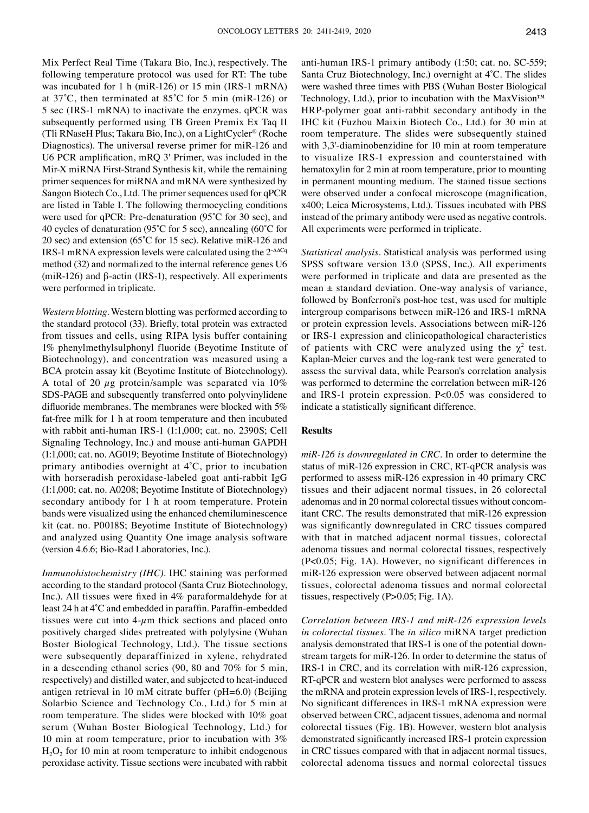Mix Perfect Real Time (Takara Bio, Inc.), respectively. The following temperature protocol was used for RT: The tube was incubated for 1 h (miR-126) or 15 min (IRS-1 mRNA) at 37˚C, then terminated at 85˚C for 5 min (miR‑126) or 5 sec (IRS-1 mRNA) to inactivate the enzymes. qPCR was subsequently performed using TB Green Premix Ex Taq II (Tli RNaseH Plus; Takara Bio, Inc.), on a LightCycler® (Roche Diagnostics). The universal reverse primer for miR-126 and U6 PCR amplification, mRQ 3' Primer, was included in the Mir‑X miRNA First‑Strand Synthesis kit, while the remaining primer sequences for miRNA and mRNA were synthesized by Sangon Biotech Co., Ltd. The primer sequences used for qPCR are listed in Table I. The following thermocycling conditions were used for qPCR: Pre‑denaturation (95˚C for 30 sec), and 40 cycles of denaturation (95˚C for 5 sec), annealing (60˚C for 20 sec) and extension (65˚C for 15 sec). Relative miR‑126 and IRS-1 mRNA expression levels were calculated using the 2-∆∆Cq method (32) and normalized to the internal reference genes U6 (miR-126) and β-actin (IRS-1), respectively. All experiments were performed in triplicate.

*Western blotting.* Western blotting was performed according to the standard protocol (33). Briefly, total protein was extracted from tissues and cells, using RIPA lysis buffer containing 1% phenylmethylsulphonyl fluoride (Beyotime Institute of Biotechnology), and concentration was measured using a BCA protein assay kit (Beyotime Institute of Biotechnology). A total of 20  $\mu$ g protein/sample was separated via 10% SDS-PAGE and subsequently transferred onto polyvinylidene difluoride membranes. The membranes were blocked with 5% fat-free milk for 1 h at room temperature and then incubated with rabbit anti-human IRS-1 (1:1,000; cat. no. 2390S; Cell Signaling Technology, Inc.) and mouse anti-human GAPDH (1:1,000; cat. no. AG019; Beyotime Institute of Biotechnology) primary antibodies overnight at 4˚C, prior to incubation with horseradish peroxidase-labeled goat anti-rabbit IgG (1:1,000; cat. no. A0208; Beyotime Institute of Biotechnology) secondary antibody for 1 h at room temperature. Protein bands were visualized using the enhanced chemiluminescence kit (cat. no. P0018S; Beyotime Institute of Biotechnology) and analyzed using Quantity One image analysis software (version 4.6.6; Bio-Rad Laboratories, Inc.).

*Immunohistochemistry (IHC).* IHC staining was performed according to the standard protocol (Santa Cruz Biotechnology, Inc.). All tissues were fixed in 4% paraformaldehyde for at least 24 h at 4°C and embedded in paraffin. Paraffin-embedded tissues were cut into  $4-\mu m$  thick sections and placed onto positively charged slides pretreated with polylysine (Wuhan Boster Biological Technology, Ltd.). The tissue sections were subsequently deparaffinized in xylene, rehydrated in a descending ethanol series (90, 80 and 70% for 5 min, respectively) and distilled water, and subjected to heat-induced antigen retrieval in 10 mM citrate buffer (pH=6.0) (Beijing Solarbio Science and Technology Co., Ltd.) for 5 min at room temperature. The slides were blocked with 10% goat serum (Wuhan Boster Biological Technology, Ltd.) for 10 min at room temperature, prior to incubation with 3%  $H<sub>2</sub>O<sub>2</sub>$  for 10 min at room temperature to inhibit endogenous peroxidase activity. Tissue sections were incubated with rabbit anti-human IRS-1 primary antibody (1:50; cat. no. SC-559; Santa Cruz Biotechnology, Inc.) overnight at 4˚C. The slides were washed three times with PBS (Wuhan Boster Biological Technology, Ltd.), prior to incubation with the MaxVision™ HRP-polymer goat anti-rabbit secondary antibody in the IHC kit (Fuzhou Maixin Biotech Co., Ltd.) for 30 min at room temperature. The slides were subsequently stained with 3,3'-diaminobenzidine for 10 min at room temperature to visualize IRS-1 expression and counterstained with hematoxylin for 2 min at room temperature, prior to mounting in permanent mounting medium. The stained tissue sections were observed under a confocal microscope (magnification, x400; Leica Microsystems, Ltd.). Tissues incubated with PBS instead of the primary antibody were used as negative controls. All experiments were performed in triplicate.

*Statistical analysis.* Statistical analysis was performed using SPSS software version 13.0 (SPSS, Inc.). All experiments were performed in triplicate and data are presented as the mean  $\pm$  standard deviation. One-way analysis of variance, followed by Bonferroni's post-hoc test, was used for multiple intergroup comparisons between miR-126 and IRS-1 mRNA or protein expression levels. Associations between miR-126 or IRS-1 expression and clinicopathological characteristics of patients with CRC were analyzed using the  $\chi^2$  test. Kaplan-Meier curves and the log-rank test were generated to assess the survival data, while Pearson's correlation analysis was performed to determine the correlation between miR-126 and IRS-1 protein expression. P<0.05 was considered to indicate a statistically significant difference.

# **Results**

*miR‑126 is downregulated in CRC.* In order to determine the status of miR-126 expression in CRC, RT-qPCR analysis was performed to assess miR-126 expression in 40 primary CRC tissues and their adjacent normal tissues, in 26 colorectal adenomas and in 20 normal colorectal tissues without concomitant CRC. The results demonstrated that miR-126 expression was significantly downregulated in CRC tissues compared with that in matched adjacent normal tissues, colorectal adenoma tissues and normal colorectal tissues, respectively (P<0.05; Fig. 1A). However, no significant differences in miR-126 expression were observed between adjacent normal tissues, colorectal adenoma tissues and normal colorectal tissues, respectively (P>0.05; Fig. 1A).

*Correlation between IRS‑1 and miR‑126 expression levels in colorectal tissues.* The *in silico* miRNA target prediction analysis demonstrated that IRS-1 is one of the potential downstream targets for miR-126. In order to determine the status of IRS-1 in CRC, and its correlation with miR-126 expression, RT-qPCR and western blot analyses were performed to assess the mRNA and protein expression levels of IRS-1, respectively. No significant differences in IRS‑1 mRNA expression were observed between CRC, adjacent tissues, adenoma and normal colorectal tissues (Fig. 1B). However, western blot analysis demonstrated significantly increased IRS‑1 protein expression in CRC tissues compared with that in adjacent normal tissues, colorectal adenoma tissues and normal colorectal tissues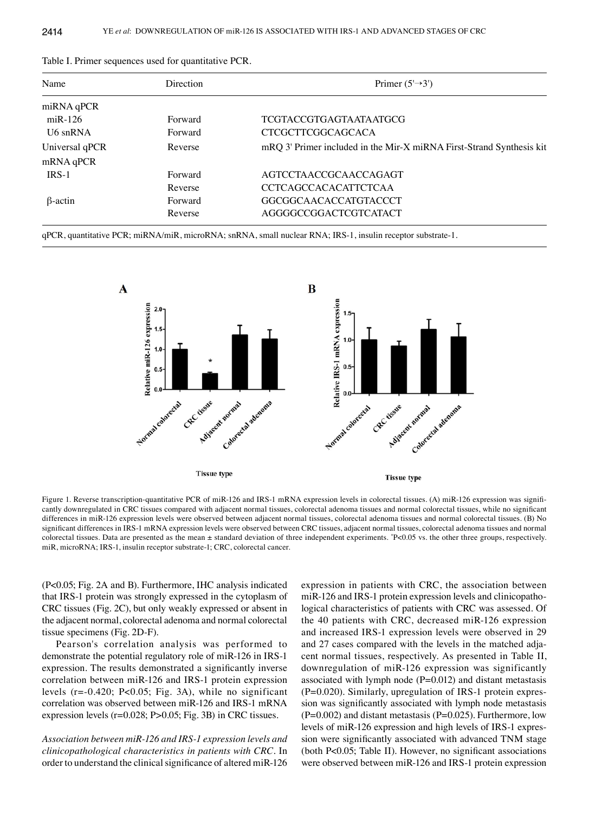| Name           | Direction | Primer $(5\rightarrow 3')$                                           |  |  |  |
|----------------|-----------|----------------------------------------------------------------------|--|--|--|
| miRNA qPCR     |           |                                                                      |  |  |  |
| $miR-126$      | Forward   | TCGTACCGTGAGTAATAATGCG                                               |  |  |  |
| U6 snRNA       | Forward   | <b>CTCGCTTCGGCAGCACA</b>                                             |  |  |  |
| Universal qPCR | Reverse   | mRQ 3' Primer included in the Mir-X miRNA First-Strand Synthesis kit |  |  |  |
| mRNA qPCR      |           |                                                                      |  |  |  |
| $IRS-1$        | Forward   | AGTCCTAACCGCAACCAGAGT                                                |  |  |  |
|                | Reverse   | <b>CCTCAGCCACACATTCTCAA</b>                                          |  |  |  |
| $\beta$ -actin | Forward   | GGCGGCAACACCATGTACCCT                                                |  |  |  |
|                | Reverse   | AGGGGCCGGACTCGTCATACT                                                |  |  |  |
|                |           |                                                                      |  |  |  |

Table I. Primer sequences used for quantitative PCR.

qPCR, quantitative PCR; miRNA/miR, microRNA; snRNA, small nuclear RNA; IRS-1, insulin receptor substrate-1.



Figure 1. Reverse transcription-quantitative PCR of miR-126 and IRS-1 mRNA expression levels in colorectal tissues. (A) miR-126 expression was significantly downregulated in CRC tissues compared with adjacent normal tissues, colorectal adenoma tissues and normal colorectal tissues, while no significant differences in miR-126 expression levels were observed between adjacent normal tissues, colorectal adenoma tissues and normal colorectal tissues. (B) No significant differences in IRS-1 mRNA expression levels were observed between CRC tissues, adjacent normal tissues, colorectal adenoma tissues and normal colorectal tissues. Data are presented as the mean ± standard deviation of three independent experiments. \* P<0.05 vs. the other three groups, respectively. miR, microRNA; IRS-1, insulin receptor substrate-1; CRC, colorectal cancer.

(P<0.05; Fig. 2A and B). Furthermore, IHC analysis indicated that IRS-1 protein was strongly expressed in the cytoplasm of CRC tissues (Fig. 2C), but only weakly expressed or absent in the adjacent normal, colorectal adenoma and normal colorectal tissue specimens (Fig. 2D-F).

Pearson's correlation analysis was performed to demonstrate the potential regulatory role of miR-126 in IRS-1 expression. The results demonstrated a significantly inverse correlation between miR-126 and IRS-1 protein expression levels (r=-0.420; P<0.05; Fig. 3A), while no significant correlation was observed between miR-126 and IRS-1 mRNA expression levels (r=0.028; P>0.05; Fig. 3B) in CRC tissues.

*Association between miR‑126 and IRS‑1 expression levels and clinicopathological characteristics in patients with CRC.* In order to understand the clinical significance of altered miR‑126 expression in patients with CRC, the association between miR-126 and IRS-1 protein expression levels and clinicopathological characteristics of patients with CRC was assessed. Of the 40 patients with CRC, decreased miR-126 expression and increased IRS-1 expression levels were observed in 29 and 27 cases compared with the levels in the matched adjacent normal tissues, respectively. As presented in Table II, downregulation of miR-126 expression was significantly associated with lymph node  $(P=0.012)$  and distant metastasis (P=0.020). Similarly, upregulation of IRS-1 protein expression was significantly associated with lymph node metastasis  $(P=0.002)$  and distant metastasis  $(P=0.025)$ . Furthermore, low levels of miR-126 expression and high levels of IRS-1 expression were significantly associated with advanced TNM stage (both P<0.05; Table II). However, no significant associations were observed between miR-126 and IRS-1 protein expression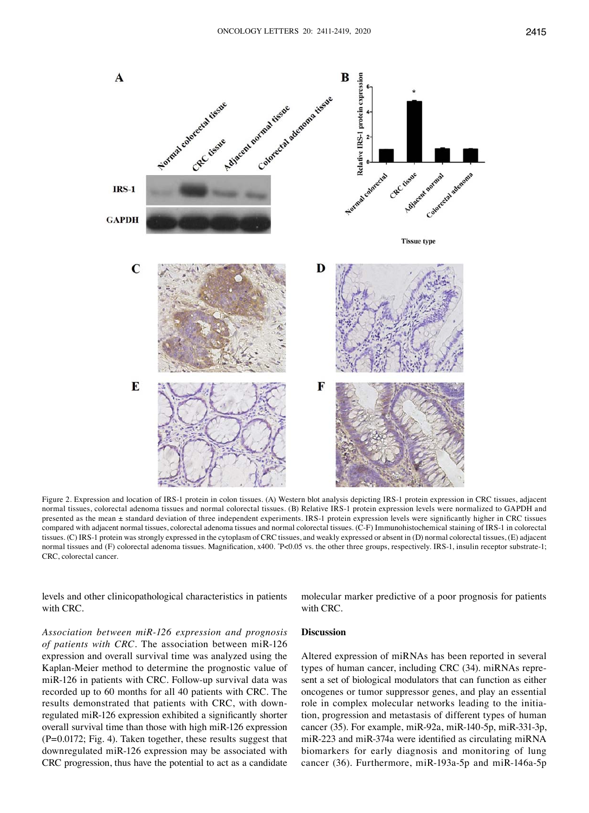

Figure 2. Expression and location of IRS-1 protein in colon tissues. (A) Western blot analysis depicting IRS-1 protein expression in CRC tissues, adjacent normal tissues, colorectal adenoma tissues and normal colorectal tissues. (B) Relative IRS-1 protein expression levels were normalized to GAPDH and presented as the mean ± standard deviation of three independent experiments. IRS‑1 protein expression levels were significantly higher in CRC tissues compared with adjacent normal tissues, colorectal adenoma tissues and normal colorectal tissues. (C-F) Immunohistochemical staining of IRS-1 in colorectal tissues. (C) IRS-1 protein was strongly expressed in the cytoplasm of CRC tissues, and weakly expressed or absent in (D) normal colorectal tissues, (E) adjacent normal tissues and (F) colorectal adenoma tissues. Magnification, x400. \* P<0.05 vs. the other three groups, respectively. IRS-1, insulin receptor substrate-1; CRC, colorectal cancer.

levels and other clinicopathological characteristics in patients with CRC.

molecular marker predictive of a poor prognosis for patients with CRC.

*Association between miR‑126 expression and prognosis of patients with CRC.* The association between miR-126 expression and overall survival time was analyzed using the Kaplan‑Meier method to determine the prognostic value of miR-126 in patients with CRC. Follow-up survival data was recorded up to 60 months for all 40 patients with CRC. The results demonstrated that patients with CRC, with downregulated miR‑126 expression exhibited a significantly shorter overall survival time than those with high miR-126 expression (P=0.0172; Fig. 4). Taken together, these results suggest that downregulated miR-126 expression may be associated with CRC progression, thus have the potential to act as a candidate

# **Discussion**

Altered expression of miRNAs has been reported in several types of human cancer, including CRC (34). miRNAs represent a set of biological modulators that can function as either oncogenes or tumor suppressor genes, and play an essential role in complex molecular networks leading to the initiation, progression and metastasis of different types of human cancer (35). For example, miR-92a, miR-140-5p, miR-331-3p, miR‑223 and miR‑374a were identified as circulating miRNA biomarkers for early diagnosis and monitoring of lung cancer (36). Furthermore, miR-193a-5p and miR-146a-5p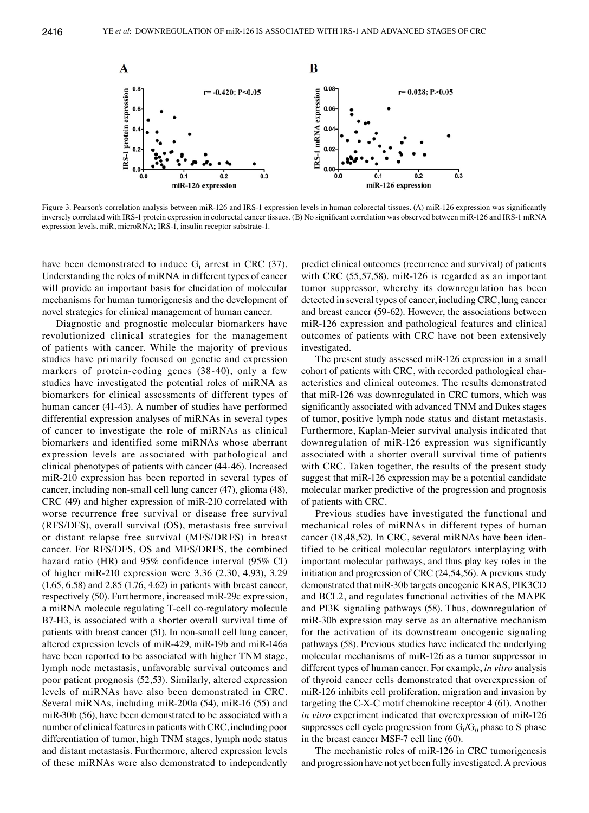

Figure 3. Pearson's correlation analysis between miR-126 and IRS-1 expression levels in human colorectal tissues. (A) miR-126 expression was significantly inversely correlated with IRS‑1 protein expression in colorectal cancer tissues. (B) No significant correlation was observed between miR‑126 and IRS‑1 mRNA expression levels. miR, microRNA; IRS-1, insulin receptor substrate-1.

have been demonstrated to induce  $G_1$  arrest in CRC (37). Understanding the roles of miRNA in different types of cancer will provide an important basis for elucidation of molecular mechanisms for human tumorigenesis and the development of novel strategies for clinical management of human cancer.

Diagnostic and prognostic molecular biomarkers have revolutionized clinical strategies for the management of patients with cancer. While the majority of previous studies have primarily focused on genetic and expression markers of protein-coding genes (38-40), only a few studies have investigated the potential roles of miRNA as biomarkers for clinical assessments of different types of human cancer (41-43). A number of studies have performed differential expression analyses of miRNAs in several types of cancer to investigate the role of miRNAs as clinical biomarkers and identified some miRNAs whose aberrant expression levels are associated with pathological and clinical phenotypes of patients with cancer (44-46). Increased miR-210 expression has been reported in several types of cancer, including non-small cell lung cancer (47), glioma (48), CRC (49) and higher expression of miR-210 correlated with worse recurrence free survival or disease free survival (RFS/DFS), overall survival (OS), metastasis free survival or distant relapse free survival (MFS/DRFS) in breast cancer. For RFS/DFS, OS and MFS/DRFS, the combined hazard ratio (HR) and 95% confidence interval (95% CI) of higher miR-210 expression were 3.36 (2.30, 4.93), 3.29 (1.65, 6.58) and 2.85 (1.76, 4.62) in patients with breast cancer, respectively (50). Furthermore, increased miR-29c expression, a miRNA molecule regulating T-cell co-regulatory molecule B7-H3, is associated with a shorter overall survival time of patients with breast cancer (51). In non-small cell lung cancer, altered expression levels of miR-429, miR-19b and miR-146a have been reported to be associated with higher TNM stage, lymph node metastasis, unfavorable survival outcomes and poor patient prognosis (52,53). Similarly, altered expression levels of miRNAs have also been demonstrated in CRC. Several miRNAs, including miR-200a (54), miR-16 (55) and miR-30b (56), have been demonstrated to be associated with a number of clinical features in patients with CRC, including poor differentiation of tumor, high TNM stages, lymph node status and distant metastasis. Furthermore, altered expression levels of these miRNAs were also demonstrated to independently

predict clinical outcomes (recurrence and survival) of patients with CRC (55,57,58). miR-126 is regarded as an important tumor suppressor, whereby its downregulation has been detected in several types of cancer, including CRC, lung cancer and breast cancer (59-62). However, the associations between miR-126 expression and pathological features and clinical outcomes of patients with CRC have not been extensively investigated.

The present study assessed miR-126 expression in a small cohort of patients with CRC, with recorded pathological characteristics and clinical outcomes. The results demonstrated that miR-126 was downregulated in CRC tumors, which was significantly associated with advanced TNM and Dukes stages of tumor, positive lymph node status and distant metastasis. Furthermore, Kaplan‑Meier survival analysis indicated that downregulation of miR-126 expression was significantly associated with a shorter overall survival time of patients with CRC. Taken together, the results of the present study suggest that miR-126 expression may be a potential candidate molecular marker predictive of the progression and prognosis of patients with CRC.

Previous studies have investigated the functional and mechanical roles of miRNAs in different types of human cancer (18,48,52). In CRC, several miRNAs have been identified to be critical molecular regulators interplaying with important molecular pathways, and thus play key roles in the initiation and progression of CRC (24,54,56). A previous study demonstrated that miR-30b targets oncogenic KRAS, PIK3CD and BCL2, and regulates functional activities of the MAPK and PI3K signaling pathways (58). Thus, downregulation of miR-30b expression may serve as an alternative mechanism for the activation of its downstream oncogenic signaling pathways (58). Previous studies have indicated the underlying molecular mechanisms of miR-126 as a tumor suppressor in different types of human cancer. For example, *in vitro* analysis of thyroid cancer cells demonstrated that overexpression of miR-126 inhibits cell proliferation, migration and invasion by targeting the C-X-C motif chemokine receptor 4 (61). Another *in vitro* experiment indicated that overexpression of miR-126 suppresses cell cycle progression from  $G_1/G_0$  phase to S phase in the breast cancer MSF-7 cell line (60).

The mechanistic roles of miR-126 in CRC tumorigenesis and progression have not yet been fully investigated. A previous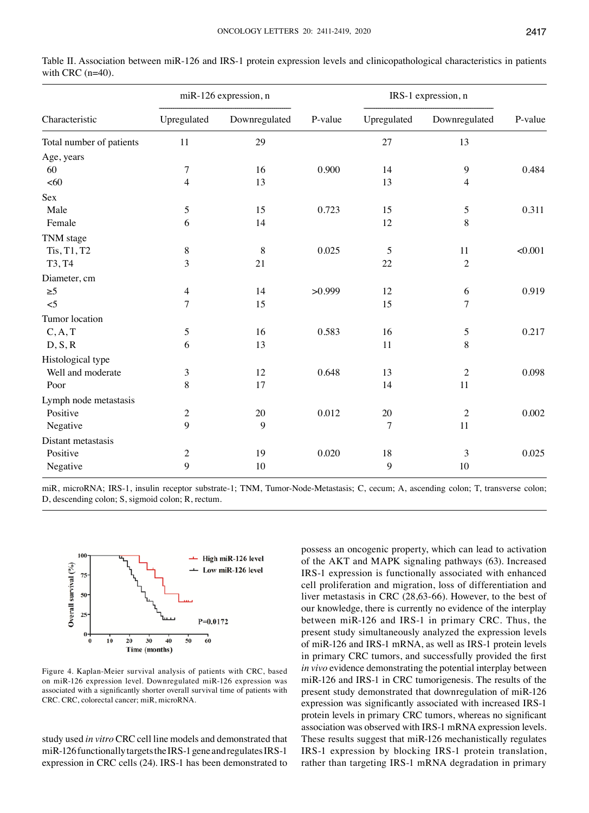|                                         | miR-126 expression, n |               |         | IRS-1 expression, n |                  |         |
|-----------------------------------------|-----------------------|---------------|---------|---------------------|------------------|---------|
| Characteristic                          | Upregulated           | Downregulated | P-value | Upregulated         | Downregulated    | P-value |
| Total number of patients                | 11                    | 29            |         | 27                  | 13               |         |
| Age, years                              |                       |               |         |                     |                  |         |
| 60                                      | 7                     | 16            | 0.900   | 14                  | $\boldsymbol{9}$ | 0.484   |
| <60                                     | $\overline{4}$        | 13            |         | 13                  | $\overline{4}$   |         |
| Sex                                     |                       |               |         |                     |                  |         |
| Male                                    | 5                     | 15            | 0.723   | 15                  | 5                | 0.311   |
| Female                                  | 6                     | 14            |         | 12                  | 8                |         |
| TNM stage                               |                       |               |         |                     |                  |         |
| Tis, T1, T2                             | $8\,$                 | 8             | 0.025   | 5                   | 11               | < 0.001 |
| T3, T4                                  | 3                     | 21            |         | 22                  | $\overline{2}$   |         |
| Diameter, cm                            |                       |               |         |                     |                  |         |
| $\geq 5$                                | $\overline{4}$        | 14            | >0.999  | 12                  | 6                | 0.919   |
| $\leq$ 5                                | $\overline{7}$        | 15            |         | 15                  | $\overline{7}$   |         |
| Tumor location                          |                       |               |         |                     |                  |         |
| $\mathcal{C}, \mathcal{A}, \mathcal{T}$ | 5                     | 16            | 0.583   | 16                  | 5                | 0.217   |
| D, S, R                                 | 6                     | 13            |         | 11                  | 8                |         |
| Histological type                       |                       |               |         |                     |                  |         |
| Well and moderate                       | $\mathfrak{Z}$        | 12            | 0.648   | 13                  | $\overline{2}$   | 0.098   |
| Poor                                    | 8                     | 17            |         | 14                  | 11               |         |
| Lymph node metastasis                   |                       |               |         |                     |                  |         |
| Positive                                | $\mathbf{2}$          | 20            | 0.012   | 20                  | $\overline{2}$   | 0.002   |
| Negative                                | 9                     | 9             |         | 7                   | 11               |         |
| Distant metastasis                      |                       |               |         |                     |                  |         |
| Positive                                | $\mathbf{2}$          | 19            | 0.020   | 18                  | 3                | 0.025   |
| Negative                                | 9                     | 10            |         | 9                   | 10               |         |
|                                         |                       |               |         |                     |                  |         |

Table II. Association between miR-126 and IRS-1 protein expression levels and clinicopathological characteristics in patients with CRC (n=40).

miR, microRNA; IRS-1, insulin receptor substrate-1; TNM, Tumor-Node-Metastasis; C, cecum; A, ascending colon; T, transverse colon; D, descending colon; S, sigmoid colon; R, rectum.



Figure 4. Kaplan‑Meier survival analysis of patients with CRC, based on miR-126 expression level. Downregulated miR-126 expression was associated with a significantly shorter overall survival time of patients with CRC. CRC, colorectal cancer; miR, microRNA.

study used *in vitro* CRC cell line models and demonstrated that miR-126 functionally targets the IRS-1 gene and regulates IRS-1 expression in CRC cells (24). IRS-1 has been demonstrated to possess an oncogenic property, which can lead to activation of the AKT and MAPK signaling pathways (63). Increased IRS-1 expression is functionally associated with enhanced cell proliferation and migration, loss of differentiation and liver metastasis in CRC (28,63-66). However, to the best of our knowledge, there is currently no evidence of the interplay between miR-126 and IRS-1 in primary CRC. Thus, the present study simultaneously analyzed the expression levels of miR-126 and IRS-1 mRNA, as well as IRS-1 protein levels in primary CRC tumors, and successfully provided the first *in vivo* evidence demonstrating the potential interplay between miR-126 and IRS-1 in CRC tumorigenesis. The results of the present study demonstrated that downregulation of miR-126 expression was significantly associated with increased IRS-1 protein levels in primary CRC tumors, whereas no significant association was observed with IRS-1 mRNA expression levels. These results suggest that miR-126 mechanistically regulates IRS-1 expression by blocking IRS-1 protein translation, rather than targeting IRS-1 mRNA degradation in primary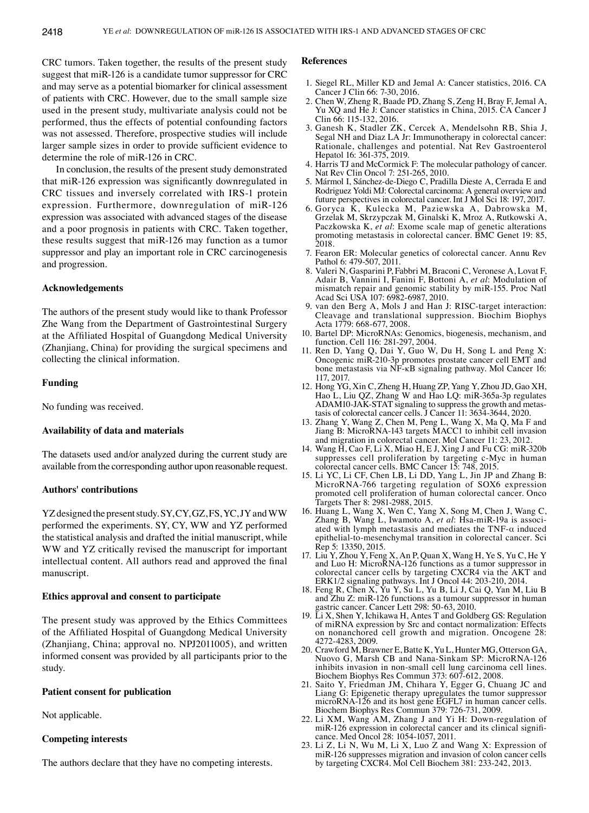CRC tumors. Taken together, the results of the present study suggest that miR-126 is a candidate tumor suppressor for CRC and may serve as a potential biomarker for clinical assessment of patients with CRC. However, due to the small sample size used in the present study, multivariate analysis could not be performed, thus the effects of potential confounding factors was not assessed. Therefore, prospective studies will include larger sample sizes in order to provide sufficient evidence to determine the role of miR-126 in CRC.

In conclusion, the results of the present study demonstrated that miR‑126 expression was significantly downregulated in CRC tissues and inversely correlated with IRS-1 protein expression. Furthermore, downregulation of miR-126 expression was associated with advanced stages of the disease and a poor prognosis in patients with CRC. Taken together, these results suggest that miR-126 may function as a tumor suppressor and play an important role in CRC carcinogenesis and progression.

## **Acknowledgements**

The authors of the present study would like to thank Professor Zhe Wang from the Department of Gastrointestinal Surgery at the Affiliated Hospital of Guangdong Medical University (Zhanjiang, China) for providing the surgical specimens and collecting the clinical information.

#### **Funding**

No funding was received.

#### **Availability of data and materials**

The datasets used and/or analyzed during the current study are available from the corresponding author upon reasonable request.

#### **Authors' contributions**

YZ designed the present study. SY, CY, GZ, FS, YC, JY and WW performed the experiments. SY, CY, WW and YZ performed the statistical analysis and drafted the initial manuscript, while WW and YZ critically revised the manuscript for important intellectual content. All authors read and approved the final manuscript.

## **Ethics approval and consent to participate**

The present study was approved by the Ethics Committees of the Affiliated Hospital of Guangdong Medical University (Zhanjiang, China; approval no. NPJ2011005), and written informed consent was provided by all participants prior to the study.

## **Patient consent for publication**

Not applicable.

# **Competing interests**

The authors declare that they have no competing interests.

#### **References**

- 1. Siegel RL, Miller KD and Jemal A: Cancer statistics, 2016. CA Cancer J Clin 66: 7-30, 2016.
- 2. Chen W, Zheng R, Baade PD, Zhang S, Zeng H, Bray F, Jemal A, Yu XQ and He J: Cancer statistics in China, 2015. CA Cancer J Clin 66: 115-132, 2016.
- 3. Ganesh K, Stadler ZK, Cercek A, Mendelsohn RB, Shia J, Segal NH and Diaz LA Jr: Immunotherapy in colorectal cancer: Rationale, challenges and potential. Nat Rev Gastroenterol Hepatol 16: 361-375, 2019.
- 4. Harris TJ and McCormick F: The molecular pathology of cancer. Nat Rev Clin Oncol 7: 251-265, 2010.
- 5. Mármol I, Sánchez‑de‑Diego C, Pradilla Dieste A, Cerrada E and Rodriguez Yoldi MJ: Colorectal carcinoma: A general overview and future perspectives in colorectal cancer. Int J Mol Sci 18: 197, 2017.
- 6. Goryca K, Kulecka M, Paziewska A, Dabrowska M, Grzelak M, Skrzypczak M, Ginalski K, Mroz A, Rutkowski A, Paczkowska K, *et al*: Exome scale map of genetic alterations promoting metastasis in colorectal cancer. BMC Genet 19: 85, 2018.
- 7. Fearon ER: Molecular genetics of colorectal cancer. Annu Rev Pathol 6: 479-507, 2011.
- 8. Valeri N, Gasparini P, Fabbri M, Braconi C, Veronese A, Lovat F, Adair B, Vannini I, Fanini F, Bottoni A, *et al*: Modulation of mismatch repair and genomic stability by miR-155. Proc Natl Acad Sci USA 107: 6982-6987, 2010.
- 9. van den Berg A, Mols J and Han J: RISC-target interaction: Cleavage and translational suppression. Biochim Biophys Acta 1779: 668-677, 2008.
- 10. Bartel DP: MicroRNAs: Genomics, biogenesis, mechanism, and function. Cell 116: 281-297, 2004.
- 11. Ren D, Yang Q, Dai Y, Guo W, Du H, Song L and Peng X: Oncogenic miR‑210‑3p promotes prostate cancer cell EMT and bone metastasis via NF-κB signaling pathway. Mol Cancer 16: 117, 2017.
- 12. Hong YG, Xin C, Zheng H, Huang ZP, Yang Y, Zhou JD, Gao XH, Hao L, Liu QZ, Zhang W and Hao LQ: miR-365a-3p regulates ADAM10-JAK-STAT signaling to suppress the growth and metastasis of colorectal cancer cells. J Cancer 11: 3634-3644, 2020.
- 13. Zhang Y, Wang Z, Chen M, Peng L, Wang X, Ma Q, Ma F and Jiang B: MicroRNA‑143 targets MACC1 to inhibit cell invasion and migration in colorectal cancer. Mol Cancer 11: 23, 2012.
- 14. Wang H, Cao F, Li X, Miao H, E J, Xing J and Fu CG: miR‑320b suppresses cell proliferation by targeting c‑Myc in human colorectal cancer cells. BMC Cancer 15: 748, 2015.
- 15. Li YC, Li CF, Chen LB, Li DD, Yang L, Jin JP and Zhang B: MicroRNA‑766 targeting regulation of SOX6 expression promoted cell proliferation of human colorectal cancer. Onco Targets Ther 8: 2981-2988, 2015.
- 16. Huang L, Wang X, Wen C, Yang X, Song M, Chen J, Wang C, Zhang B, Wang L, Iwamoto A, *et al*: Hsa-miR-19a is associ- ated with lymph metastasis and mediates the TNF-α induced epithelial-to-mesenchymal transition in colorectal cancer. Sci Rep 5: 13350, 2015.
- 17. Liu Y, Zhou Y, Feng X, An P, Quan X, Wang H, Ye S, Yu C, He Y and Luo H: MicroRNA‑126 functions as a tumor suppressor in colorectal cancer cells by targeting CXCR4 via the AKT and ERK1/2 signaling pathways. Int J Oncol 44: 203-210, 2014.
- 18. Feng R, Chen X, Yu Y, Su L, Yu B, Li J, Cai Q, Yan M, Liu B and Zhu Z: miR-126 functions as a tumour suppressor in human gastric cancer. Cancer Lett 298: 50-63, 2010.
- 19. Li X, Shen Y, Ichikawa H, Antes T and Goldberg GS: Regulation of miRNA expression by Src and contact normalization: Effects on nonanchored cell growth and migration. Oncogene 28: 4272-4283, 2009.
- 20. Crawford M, Brawner E, Batte K, Yu L, Hunter MG, Otterson GA, Nuovo G, Marsh CB and Nana‑Sinkam SP: MicroRNA‑126 inhibits invasion in non-small cell lung carcinoma cell lines. Biochem Biophys Res Commun 373: 607-612, 2008.
- 21. Saito Y, Friedman JM, Chihara Y, Egger G, Chuang JC and Liang G: Epigenetic therapy upregulates the tumor suppressor microRNA-126 and its host gene EGFL7 in human cancer cells. Biochem Biophys Res Commun 379: 726-731, 2009.
- 22. Li XM, Wang AM, Zhang J and Yi H: Down‑regulation of miR‑126 expression in colorectal cancer and its clinical signifi- cance. Med Oncol 28: 1054‑1057, 2011.
- 23. Li Z, Li N, Wu M, Li X, Luo Z and Wang X: Expression of miR-126 suppresses migration and invasion of colon cancer cells by targeting CXCR4. Mol Cell Biochem 381: 233‑242, 2013.